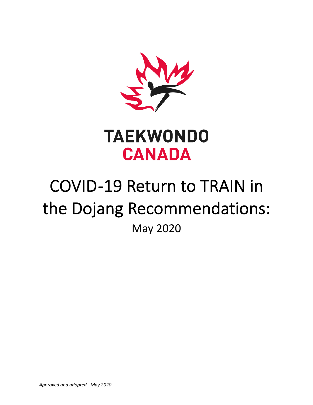



# COVID -19 Return to TRAIN in the Dojang Recommendations: May 2020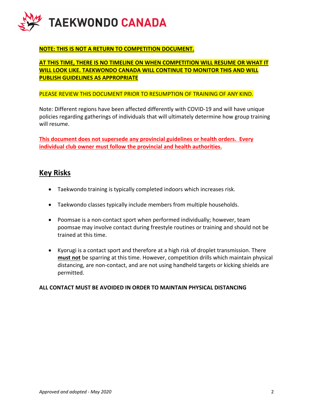

## **NOTE: THIS IS NOT A RETURN TO COMPETITION DOCUMENT.**

## **AT THIS TIME, THERE IS NO TIMELINE ON WHEN COMPETITION WILL RESUME OR WHAT IT WILL LOOK LIKE. TAEKWONDO CANADA WILL CONTINUE TO MONITOR THIS AND WILL PUBLISH GUIDELINES AS APPROPRIATE**

#### PLEASE REVIEW THIS DOCUMENT PRIOR TO RESUMPTION OF TRAINING OF ANY KIND.

Note: Different regions have been affected differently with COVID-19 and will have unique policies regarding gatherings of individuals that will ultimately determine how group training will resume.

**This document does not supersede any provincial guidelines or health orders. Every individual club owner must follow the provincial and health authorities.**

## **Key Risks**

- Taekwondo training is typically completed indoors which increases risk.
- Taekwondo classes typically include members from multiple households.
- Poomsae is a non-contact sport when performed individually; however, team poomsae may involve contact during freestyle routines or training and should not be trained at this time.
- Kyorugi is a contact sport and therefore at a high risk of droplet transmission. There **must not** be sparring at this time. However, competition drills which maintain physical distancing, are non-contact, and are not using handheld targets or kicking shields are permitted.

#### **ALL CONTACT MUST BE AVOIDED IN ORDER TO MAINTAIN PHYSICAL DISTANCING**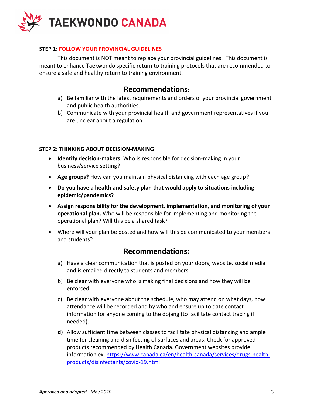

### **STEP 1: FOLLOW YOUR PROVINCIAL GUIDELINES**

This document is NOT meant to replace your provincial guidelines. This document is meant to enhance Taekwondo specific return to training protocols that are recommended to ensure a safe and healthy return to training environment.

# **Recommendations:**

- a) Be familiar with the latest requirements and orders of your provincial government and public health authorities.
- b) Communicate with your provincial health and government representatives if you are unclear about a regulation.

### **STEP 2: THINKING ABOUT DECISION-MAKING**

- **Identify decision-makers.** Who is responsible for decision-making in your business/service setting?
- **Age groups?** How can you maintain physical distancing with each age group?
- **Do you have a health and safety plan that would apply to situations including epidemic/pandemics?**
- **Assign responsibility for the development, implementation, and monitoring of your operational plan.** Who will be responsible for implementing and monitoring the operational plan? Will this be a shared task?
- Where will your plan be posted and how will this be communicated to your members and students?

# **Recommendations:**

- a) Have a clear communication that is posted on your doors, website, social media and is emailed directly to students and members
- b) Be clear with everyone who is making final decisions and how they will be enforced
- c) Be clear with everyone about the schedule, who may attend on what days, how attendance will be recorded and by who and ensure up to date contact information for anyone coming to the dojang (to facilitate contact tracing if needed).
- **d)** Allow sufficient time between classes to facilitate physical distancing and ample time for cleaning and disinfecting of surfaces and areas. Check for approved products recommended by Health Canada. Government websites provide information ex. https://www.canada.ca/en/health-canada/services/drugs-healthproducts/disinfectants/covid-19.html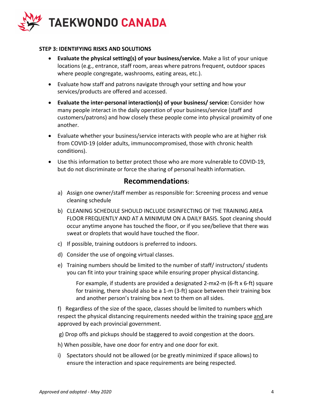

### **STEP 3: IDENTIFYING RISKS AND SOLUTIONS**

- **Evaluate the physical setting(s) of your business/service.** Make a list of your unique locations (e.g., entrance, staff room, areas where patrons frequent, outdoor spaces where people congregate, washrooms, eating areas, etc.).
- Evaluate how staff and patrons navigate through your setting and how your services/products are offered and accessed.
- **Evaluate the inter-personal interaction(s) of your business/ service:** Consider how many people interact in the daily operation of your business/service (staff and customers/patrons) and how closely these people come into physical proximity of one another.
- Evaluate whether your business/service interacts with people who are at higher risk from COVID-19 (older adults, immunocompromised, those with chronic health conditions).
- Use this information to better protect those who are more vulnerable to COVID-19, but do not discriminate or force the sharing of personal health information.

# **Recommendations:**

- a) Assign one owner/staff member as responsible for: Screening process and venue cleaning schedule
- b) CLEANING SCHEDULE SHOULD INCLUDE DISINFECTING OF THE TRAINING AREA FLOOR FREQUENTLY AND AT A MINIMUM ON A DAILY BASIS. Spot cleaning should occur anytime anyone has touched the floor, or if you see/believe that there was sweat or droplets that would have touched the floor.
- c) If possible, training outdoors is preferred to indoors.
- d) Consider the use of ongoing virtual classes.
- e) Training numbers should be limited to the number of staff/ instructors/ students you can fit into your training space while ensuring proper physical distancing.

For example, if students are provided a designated 2-mx2-m (6-ft x 6-ft) square for training, there should also be a 1-m (3-ft) space between their training box and another person's training box next to them on all sides.

f) Regardless of the size of the space, classes should be limited to numbers which respect the physical distancing requirements needed within the training space and are approved by each provincial government.

- g) Drop offs and pickups should be staggered to avoid congestion at the doors.
- h) When possible, have one door for entry and one door for exit.
- i) Spectators should not be allowed (or be greatly minimized if space allows) to ensure the interaction and space requirements are being respected.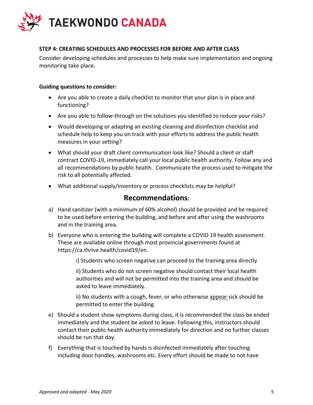

## **STEP 4: CREATING SCHEDULES AND PROCESSES FOR BEFORE AND AFTER CLASS**

Consider developing schedules and processes to help make sure implementation and ongoing monitoring take place.

#### **Guiding questions to consider:**

- Are you able to create a daily checklist to monitor that your plan is in place and functioning?
- Are you able to follow-through on the solutions you identified to reduce your risks?
- Would developing or adapting an existing cleaning and disinfection checklist and schedule help to keep you on track with your efforts to address the public health measures in your setting?
- What should your draft client communication look like? Should a client or staff contract COVID-19, immediately call your local public health authority. Follow any and all recommendations by public health. Communicate the process used to mitigate the risk to all potentially affected.
- What additional supply/inventory or process checklists may be helpful?

## **Recommendations:**

- a) Hand sanitizer (with a minimum of 60% alcohol) should be provided and be required to be used before entering the building, and before and after using the washrooms and in the training area.
- b) Everyone who is entering the building will complete a COVID 19 health assessment. These are available online through most provincial governments found at https://ca.thrive.health/covid19/en.

i) Students who screen negative can proceed to the training area directly

ii) Students who do not screen negative should contact their local health authorities and will not be permitted into the training area and should be asked to leave immediately.

ii) No students with a cough, fever, or who otherwise appear sick should be permitted to enter the building.

- e) Should a student show symptoms during class, it is recommended the class be ended immediately and the student be asked to leave. Following this, instructors should contact their public health authority immediately for direction and no further classes should be run that day.
- f) Everything that is touched by hands is disinfected immediately after touching including door handles, washrooms etc. Every effort should be made to not have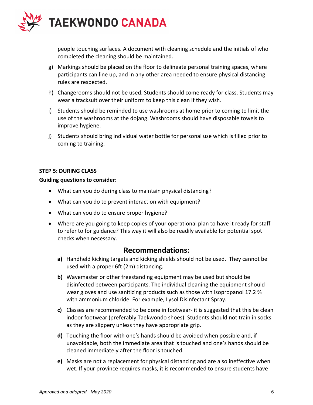

people touching surfaces. A document with cleaning schedule and the initials of who completed the cleaning should be maintained.

- g) Markings should be placed on the floor to delineate personal training spaces, where participants can line up, and in any other area needed to ensure physical distancing rules are respected.
- h) Changerooms should not be used. Students should come ready for class. Students may wear a tracksuit over their uniform to keep this clean if they wish.
- i) Students should be reminded to use washrooms at home prior to coming to limit the use of the washrooms at the dojang. Washrooms should have disposable towels to improve hygiene.
- j) Students should bring individual water bottle for personal use which is filled prior to coming to training.

### **STEP 5: DURING CLASS**

#### **Guiding questions to consider:**

- What can you do during class to maintain physical distancing?
- What can you do to prevent interaction with equipment?
- What can you do to ensure proper hygiene?
- Where are you going to keep copies of your operational plan to have it ready for staff to refer to for guidance? This way it will also be readily available for potential spot checks when necessary.

## **Recommendations:**

- **a)** Handheld kicking targets and kicking shields should not be used. They cannot be used with a proper 6ft (2m) distancing.
- **b)** Wavemaster or other freestanding equipment may be used but should be disinfected between participants. The individual cleaning the equipment should wear gloves and use sanitizing products such as those with Isopropanol 17.2 % with ammonium chloride. For example, Lysol Disinfectant Spray.
- **c)** Classes are recommended to be done in footwear- it is suggested that this be clean indoor footwear (preferably Taekwondo shoes). Students should not train in socks as they are slippery unless they have appropriate grip.
- **d)** Touching the floor with one's hands should be avoided when possible and, if unavoidable, both the immediate area that is touched and one's hands should be cleaned immediately after the floor is touched.
- **e)** Masks are not a replacement for physical distancing and are also ineffective when wet. If your province requires masks, it is recommended to ensure students have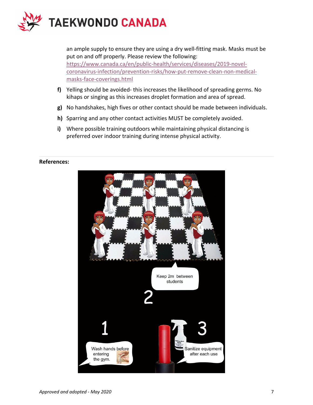

an ample supply to ensure they are using a dry well-fitting mask. Masks must be put on and off properly. Please review the following: https://www.canada.ca/en/public-health/services/diseases/2019-novelcoronavirus-infection/prevention-risks/how-put-remove-clean-non-medicalmasks-face-coverings.html

- **f)** Yelling should be avoided- this increases the likelihood of spreading germs. No kihaps or singing as this increases droplet formation and area of spread.
- **g)** No handshakes, high fives or other contact should be made between individuals.
- **h)** Sparring and any other contact activities MUST be completely avoided.
- **i)** Where possible training outdoors while maintaining physical distancing is preferred over indoor training during intense physical activity.

#### **References:**